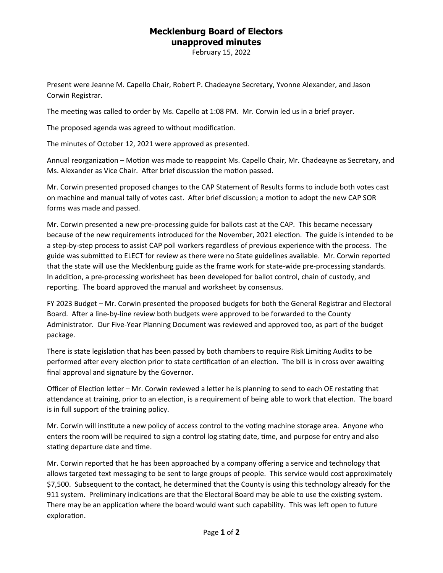## **Mecklenburg Board of Electors unapproved minutes**

February 15, 2022

Present were Jeanne M. Capello Chair, Robert P. Chadeayne Secretary, Yvonne Alexander, and Jason Corwin Registrar.

The meeting was called to order by Ms. Capello at 1:08 PM. Mr. Corwin led us in a brief prayer.

The proposed agenda was agreed to without modification.

The minutes of October 12, 2021 were approved as presented.

Annual reorganization – Motion was made to reappoint Ms. Capello Chair, Mr. Chadeayne as Secretary, and Ms. Alexander as Vice Chair. After brief discussion the motion passed.

Mr. Corwin presented proposed changes to the CAP Statement of Results forms to include both votes cast on machine and manual tally of votes cast. After brief discussion; a motion to adopt the new CAP SOR forms was made and passed.

Mr. Corwin presented a new pre-processing guide for ballots cast at the CAP. This became necessary because of the new requirements introduced for the November, 2021 election. The guide is intended to be a step-by-step process to assist CAP poll workers regardless of previous experience with the process. The guide was submitted to ELECT for review as there were no State guidelines available. Mr. Corwin reported that the state will use the Mecklenburg guide as the frame work for state-wide pre-processing standards. In addition, a pre-processing worksheet has been developed for ballot control, chain of custody, and reporting. The board approved the manual and worksheet by consensus.

FY 2023 Budget – Mr. Corwin presented the proposed budgets for both the General Registrar and Electoral Board. After a line-by-line review both budgets were approved to be forwarded to the County Administrator. Our Five-Year Planning Document was reviewed and approved too, as part of the budget package.

There is state legislation that has been passed by both chambers to require Risk Limiting Audits to be performed after every election prior to state certification of an election. The bill is in cross over awaiting final approval and signature by the Governor.

Officer of Election letter – Mr. Corwin reviewed a letter he is planning to send to each OE restating that attendance at training, prior to an election, is a requirement of being able to work that election. The board is in full support of the training policy.

Mr. Corwin will institute a new policy of access control to the voting machine storage area. Anyone who enters the room will be required to sign a control log stating date, time, and purpose for entry and also stating departure date and time.

Mr. Corwin reported that he has been approached by a company offering a service and technology that allows targeted text messaging to be sent to large groups of people. This service would cost approximately \$7,500. Subsequent to the contact, he determined that the County is using this technology already for the 911 system. Preliminary indications are that the Electoral Board may be able to use the existing system. There may be an application where the board would want such capability. This was left open to future exploration.